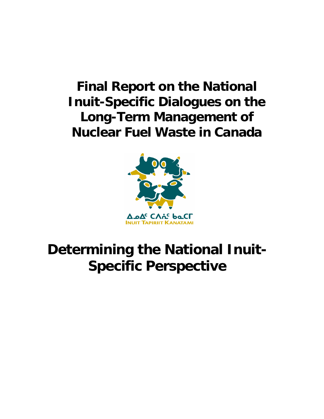## **Final Report on the National Inuit-Specific Dialogues on the Long-Term Management of Nuclear Fuel Waste in Canada**



# **Determining the National Inuit-Specific Perspective**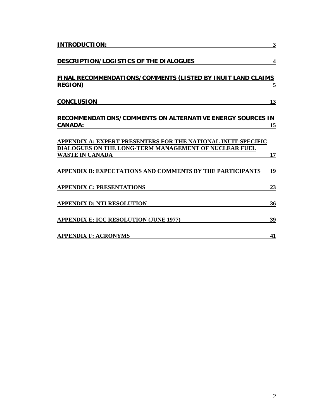| <b>INTRODUCTION:</b>                                                                                                   | 3                       |
|------------------------------------------------------------------------------------------------------------------------|-------------------------|
| DESCRIPTION/LOGISTICS OF THE DIALOGUES                                                                                 | $\overline{\mathbf{4}}$ |
| <b>FINAL RECOMMENDATIONS/COMMENTS (LISTED BY INUIT LAND CLAIMS</b><br><b>REGION</b> )                                  | <u>5</u>                |
| <b>CONCLUSION</b>                                                                                                      | 13                      |
| <b>RECOMMENDATIONS/COMMENTS ON ALTERNATIVE ENERGY SOURCES IN</b><br><b>CANADA:</b>                                     | 15                      |
| APPENDIX A: EXPERT PRESENTERS FOR THE NATIONAL INUIT-SPECIFIC<br>DIALOGUES ON THE LONG-TERM MANAGEMENT OF NUCLEAR FUEL |                         |
| <b>WASTE IN CANADA</b>                                                                                                 | 17                      |
| APPENDIX B: EXPECTATIONS AND COMMENTS BY THE PARTICIPANTS                                                              | 19                      |
| <b>APPENDIX C: PRESENTATIONS</b>                                                                                       | 23                      |
| <b>APPENDIX D: NTI RESOLUTION</b>                                                                                      | 36                      |
| <b>APPENDIX E: ICC RESOLUTION (JUNE 1977)</b>                                                                          | 39                      |
| <b>APPENDIX F: ACRONYMS</b>                                                                                            | 41                      |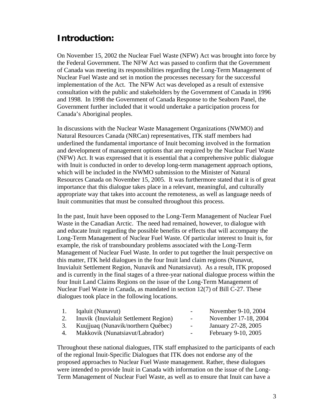### **Introduction:**

On November 15, 2002 the Nuclear Fuel Waste (NFW) Act was brought into force by the Federal Government. The NFW Act was passed to confirm that the Government of Canada was meeting its responsibilities regarding the Long-Term Management of Nuclear Fuel Waste and set in motion the processes necessary for the successful implementation of the Act. The NFW Act was developed as a result of extensive consultation with the public and stakeholders by the Government of Canada in 1996 and 1998. In 1998 the Government of Canada Response to the Seaborn Panel, the Government further included that it would undertake a participation process for Canada's Aboriginal peoples.

In discussions with the Nuclear Waste Management Organizations (NWMO) and Natural Resources Canada (NRCan) representatives, ITK staff members had underlined the fundamental importance of Inuit becoming involved in the formation and development of management options that are required by the Nuclear Fuel Waste (NFW) Act. It was expressed that it is essential that a comprehensive public dialogue with Inuit is conducted in order to develop long-term management approach options, which will be included in the NWMO submission to the Minister of Natural Resources Canada on November 15, 2005. It was furthermore stated that it is of great importance that this dialogue takes place in a relevant, meaningful, and culturally appropriate way that takes into account the remoteness, as well as language needs of Inuit communities that must be consulted throughout this process.

In the past, Inuit have been opposed to the Long-Term Management of Nuclear Fuel Waste in the Canadian Arctic. The need had remained, however, to dialogue with and educate Inuit regarding the possible benefits or effects that will accompany the Long-Term Management of Nuclear Fuel Waste. Of particular interest to Inuit is, for example, the risk of transboundary problems associated with the Long-Term Management of Nuclear Fuel Waste. In order to put together the Inuit perspective on this matter, ITK held dialogues in the four Inuit land claim regions (Nunavut, Inuvialuit Settlement Region, Nunavik and Nunatsiavut). As a result, ITK proposed and is currently in the final stages of a three-year national dialogue process within the four Inuit Land Claims Regions on the issue of the Long-Term Management of Nuclear Fuel Waste in Canada, as mandated in section 12(7) of Bill C-27. These dialogues took place in the following locations.

| $\overline{1}$ . | Iqaluit (Nunavut)                     | $\sim$ 100 $\mu$ | November 9-10, 2004  |
|------------------|---------------------------------------|------------------|----------------------|
| 2.               | Inuvik (Inuvialuit Settlement Region) | $\sim$ 100 $\mu$ | November 17-18, 2004 |
| 3.               | Kuujjuaq (Nunavik/northern Québec)    | $\sim$ $-$       | January 27-28, 2005  |
| 4.               | Makkovik (Nunatsiavut/Labrador)       | $\sim$           | February 9-10, 2005  |

Throughout these national dialogues, ITK staff emphasized to the participants of each of the regional Inuit-Specific Dialogues that ITK does not endorse any of the proposed approaches to Nuclear Fuel Waste management. Rather, these dialogues were intended to provide Inuit in Canada with information on the issue of the Long-Term Management of Nuclear Fuel Waste, as well as to ensure that Inuit can have a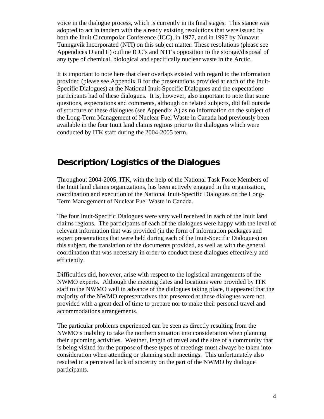voice in the dialogue process, which is currently in its final stages. This stance was adopted to act in tandem with the already existing resolutions that were issued by both the Inuit Circumpolar Conference (ICC), in 1977, and in 1997 by Nunavut Tunngavik Incorporated (NTI) on this subject matter. These resolutions (please see Appendices D and E) outline ICC's and NTI's opposition to the storage/disposal of any type of chemical, biological and specifically nuclear waste in the Arctic.

It is important to note here that clear overlaps existed with regard to the information provided (please see Appendix B for the presentations provided at each of the Inuit-Specific Dialogues) at the National Inuit-Specific Dialogues and the expectations participants had of these dialogues. It is, however, also important to note that some questions, expectations and comments, although on related subjects, did fall outside of structure of these dialogues (see Appendix A) as no information on the subject of the Long-Term Management of Nuclear Fuel Waste in Canada had previously been available in the four Inuit land claims regions prior to the dialogues which were conducted by ITK staff during the 2004-2005 term.

### **Description/Logistics of the Dialogues**

Throughout 2004-2005, ITK, with the help of the National Task Force Members of the Inuit land claims organizations, has been actively engaged in the organization, coordination and execution of the National Inuit-Specific Dialogues on the Long-Term Management of Nuclear Fuel Waste in Canada.

The four Inuit-Specific Dialogues were very well received in each of the Inuit land claims regions. The participants of each of the dialogues were happy with the level of relevant information that was provided (in the form of information packages and expert presentations that were held during each of the Inuit-Specific Dialogues) on this subject, the translation of the documents provided, as well as with the general coordination that was necessary in order to conduct these dialogues effectively and efficiently.

Difficulties did, however, arise with respect to the logistical arrangements of the NWMO experts. Although the meeting dates and locations were provided by ITK staff to the NWMO well in advance of the dialogues taking place, it appeared that the majority of the NWMO representatives that presented at these dialogues were not provided with a great deal of time to prepare nor to make their personal travel and accommodations arrangements.

The particular problems experienced can be seen as directly resulting from the NWMO's inability to take the northern situation into consideration when planning their upcoming activities. Weather, length of travel and the size of a community that is being visited for the purpose of these types of meetings must always be taken into consideration when attending or planning such meetings. This unfortunately also resulted in a perceived lack of sincerity on the part of the NWMO by dialogue participants.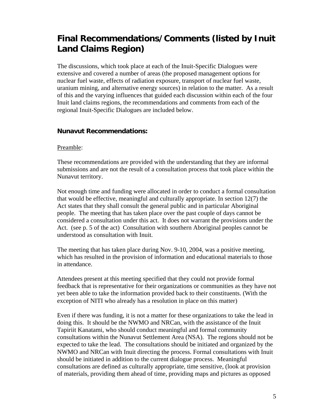### **Final Recommendations/Comments (listed by Inuit Land Claims Region)**

The discussions, which took place at each of the Inuit-Specific Dialogues were extensive and covered a number of areas (the proposed management options for nuclear fuel waste, effects of radiation exposure, transport of nuclear fuel waste, uranium mining, and alternative energy sources) in relation to the matter. As a result of this and the varying influences that guided each discussion within each of the four Inuit land claims regions, the recommendations and comments from each of the regional Inuit-Specific Dialogues are included below.

### **Nunavut Recommendations:**

#### Preamble:

These recommendations are provided with the understanding that they are informal submissions and are not the result of a consultation process that took place within the Nunavut territory.

Not enough time and funding were allocated in order to conduct a formal consultation that would be effective, meaningful and culturally appropriate. In section 12(7) the Act states that they shall consult the general public and in particular Aboriginal people. The meeting that has taken place over the past couple of days cannot be considered a consultation under this act. It does not warrant the provisions under the Act. (see p. 5 of the act) Consultation with southern Aboriginal peoples cannot be understood as consultation with Inuit.

The meeting that has taken place during Nov. 9-10, 2004, was a positive meeting, which has resulted in the provision of information and educational materials to those in attendance.

Attendees present at this meeting specified that they could not provide formal feedback that is representative for their organizations or communities as they have not yet been able to take the information provided back to their constituents. (With the exception of NITI who already has a resolution in place on this matter)

Even if there was funding, it is not a matter for these organizations to take the lead in doing this. It should be the NWMO and NRCan, with the assistance of the Inuit Tapiriit Kanatami, who should conduct meaningful and formal community consultations within the Nunavut Settlement Area (NSA). The regions should not be expected to take the lead. The consultations should be initiated and organized by the NWMO and NRCan with Inuit directing the process. Formal consultations with Inuit should be initiated in addition to the current dialogue process. Meaningful consultations are defined as culturally appropriate, time sensitive, (look at provision of materials, providing them ahead of time, providing maps and pictures as opposed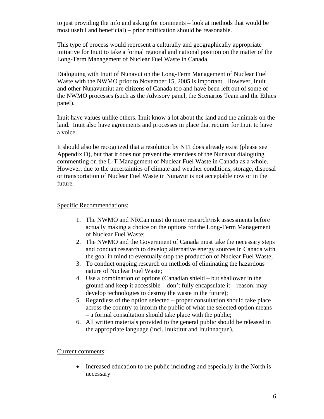to just providing the info and asking for comments – look at methods that would be most useful and beneficial) – prior notification should be reasonable.

This type of process would represent a culturally and geographically appropriate initiative for Inuit to take a formal regional and national position on the matter of the Long-Term Management of Nuclear Fuel Waste in Canada.

Dialoguing with Inuit of Nunavut on the Long-Term Management of Nuclear Fuel Waste with the NWMO prior to November 15, 2005 is important. However, Inuit and other Nunavumiut are citizens of Canada too and have been left out of some of the NWMO processes (such as the Advisory panel, the Scenarios Team and the Ethics panel).

Inuit have values unlike others. Inuit know a lot about the land and the animals on the land. Inuit also have agreements and processes in place that require for Inuit to have a voice.

It should also be recognized that a resolution by NTI does already exist (please see Appendix D), but that it does not prevent the attendees of the Nunavut dialoguing commenting on the L-T Management of Nuclear Fuel Waste in Canada as a whole. However, due to the uncertainties of climate and weather conditions, storage, disposal or transportation of Nuclear Fuel Waste in Nunavut is not acceptable now or in the future.

#### Specific Recommendations:

- 1. The NWMO and NRCan must do more research/risk assessments before actually making a choice on the options for the Long-Term Management of Nuclear Fuel Waste;
- 2. The NWMO and the Government of Canada must take the necessary steps and conduct research to develop alternative energy sources in Canada with the goal in mind to eventually stop the production of Nuclear Fuel Waste;
- 3. To conduct ongoing research on methods of eliminating the hazardous nature of Nuclear Fuel Waste;
- 4. Use a combination of options (Canadian shield but shallower in the ground and keep it accessible – don't fully encapsulate it – reason: may develop technologies to destroy the waste in the future);
- 5. Regardless of the option selected proper consultation should take place across the country to inform the public of what the selected option means – a formal consultation should take place with the public;
- 6. All written materials provided to the general public should be released in the appropriate language (incl. Inuktitut and Inuinnaqtun).

#### Current comments:

• Increased education to the public including and especially in the North is necessary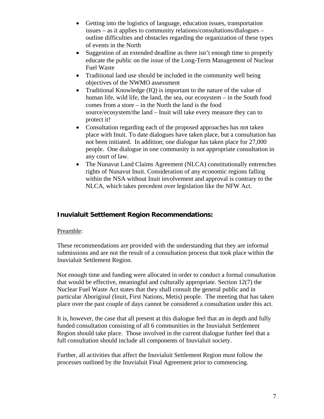- Getting into the logistics of language, education issues, transportation issues – as it applies to community relations/consultations/dialogues – outline difficulties and obstacles regarding the organization of these types of events in the North
- Suggestion of an extended deadline as there isn't enough time to properly educate the public on the issue of the Long-Term Management of Nuclear Fuel Waste
- Traditional land use should be included in the community well being objectives of the NWMO assessment
- Traditional Knowledge (IQ) is important to the nature of the value of human life, wild life, the land, the sea, our ecosystem – in the South food comes from a store – in the North the land is the food source/ecosystem/the land – Inuit will take every measure they can to protect it!
- Consultation regarding each of the proposed approaches has not taken place with Inuit. To date dialogues have taken place, but a consultation has not been initiated. In addition; one dialogue has taken place for 27,000 people. One dialogue in one community is not appropriate consultation in any court of law.
- The Nunavut Land Claims Agreement (NLCA) constitutionally entrenches rights of Nunavut Inuit. Consideration of any economic regions falling within the NSA without Inuit involvement and approval is contrary to the NLCA, which takes precedent over legislation like the NFW Act.

### **Inuvialuit Settlement Region Recommendations:**

### Preamble:

These recommendations are provided with the understanding that they are informal submissions and are not the result of a consultation process that took place within the Inuvialuit Settlement Region.

Not enough time and funding were allocated in order to conduct a formal consultation that would be effective, meaningful and culturally appropriate. Section 12(7) the Nuclear Fuel Waste Act states that they shall consult the general public and in particular Aboriginal (Inuit, First Nations, Metis) people. The meeting that has taken place over the past couple of days cannot be considered a consultation under this act.

It is, however, the case that all present at this dialogue feel that an in depth and fully funded consultation consisting of all 6 communities in the Inuvialuit Settlement Region should take place. Those involved in the current dialogue further feel that a full consultation should include all components of Inuvialuit society.

Further, all activities that affect the Inuvialuit Settlement Region must follow the processes outlined by the Inuvialuit Final Agreement prior to commencing.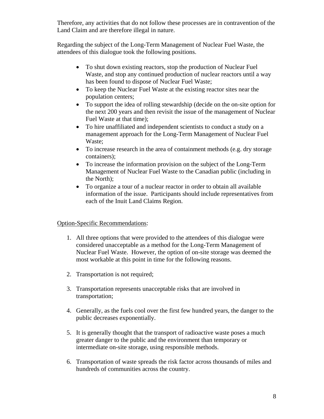Therefore, any activities that do not follow these processes are in contravention of the Land Claim and are therefore illegal in nature.

Regarding the subject of the Long-Term Management of Nuclear Fuel Waste, the attendees of this dialogue took the following positions.

- To shut down existing reactors, stop the production of Nuclear Fuel Waste, and stop any continued production of nuclear reactors until a way has been found to dispose of Nuclear Fuel Waste;
- To keep the Nuclear Fuel Waste at the existing reactor sites near the population centers;
- To support the idea of rolling stewardship (decide on the on-site option for the next 200 years and then revisit the issue of the management of Nuclear Fuel Waste at that time);
- To hire unaffiliated and independent scientists to conduct a study on a management approach for the Long-Term Management of Nuclear Fuel Waste;
- To increase research in the area of containment methods (e.g. dry storage containers);
- To increase the information provision on the subject of the Long-Term Management of Nuclear Fuel Waste to the Canadian public (including in the North);
- To organize a tour of a nuclear reactor in order to obtain all available information of the issue. Participants should include representatives from each of the Inuit Land Claims Region.

### Option-Specific Recommendations:

- 1. All three options that were provided to the attendees of this dialogue were considered unacceptable as a method for the Long-Term Management of Nuclear Fuel Waste. However, the option of on-site storage was deemed the most workable at this point in time for the following reasons.
- 2. Transportation is not required;
- 3. Transportation represents unacceptable risks that are involved in transportation;
- 4. Generally, as the fuels cool over the first few hundred years, the danger to the public decreases exponentially.
- 5. It is generally thought that the transport of radioactive waste poses a much greater danger to the public and the environment than temporary or intermediate on-site storage, using responsible methods.
- 6. Transportation of waste spreads the risk factor across thousands of miles and hundreds of communities across the country.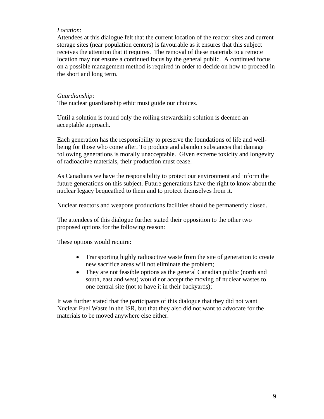#### *Location*:

Attendees at this dialogue felt that the current location of the reactor sites and current storage sites (near population centers) is favourable as it ensures that this subject receives the attention that it requires. The removal of these materials to a remote location may not ensure a continued focus by the general public. A continued focus on a possible management method is required in order to decide on how to proceed in the short and long term.

#### *Guardianship*:

The nuclear guardianship ethic must guide our choices.

Until a solution is found only the rolling stewardship solution is deemed an acceptable approach.

Each generation has the responsibility to preserve the foundations of life and wellbeing for those who come after. To produce and abandon substances that damage following generations is morally unacceptable. Given extreme toxicity and longevity of radioactive materials, their production must cease.

As Canadians we have the responsibility to protect our environment and inform the future generations on this subject. Future generations have the right to know about the nuclear legacy bequeathed to them and to protect themselves from it.

Nuclear reactors and weapons productions facilities should be permanently closed.

The attendees of this dialogue further stated their opposition to the other two proposed options for the following reason:

These options would require:

- Transporting highly radioactive waste from the site of generation to create new sacrifice areas will not eliminate the problem;
- They are not feasible options as the general Canadian public (north and south, east and west) would not accept the moving of nuclear wastes to one central site (not to have it in their backyards);

It was further stated that the participants of this dialogue that they did not want Nuclear Fuel Waste in the ISR, but that they also did not want to advocate for the materials to be moved anywhere else either.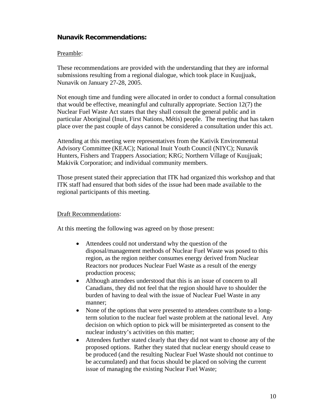### **Nunavik Recommendations:**

### Preamble:

These recommendations are provided with the understanding that they are informal submissions resulting from a regional dialogue, which took place in Kuujjuak, Nunavik on January 27-28, 2005.

Not enough time and funding were allocated in order to conduct a formal consultation that would be effective, meaningful and culturally appropriate. Section 12(7) the Nuclear Fuel Waste Act states that they shall consult the general public and in particular Aboriginal (Inuit, First Nations, Métis) people. The meeting that has taken place over the past couple of days cannot be considered a consultation under this act.

Attending at this meeting were representatives from the Kativik Environmental Advisory Committee (KEAC); National Inuit Youth Council (NIYC); Nunavik Hunters, Fishers and Trappers Association; KRG; Northern Village of Kuujjuak; Makivik Corporation; and individual community members.

Those present stated their appreciation that ITK had organized this workshop and that ITK staff had ensured that both sides of the issue had been made available to the regional participants of this meeting.

### Draft Recommendations:

At this meeting the following was agreed on by those present:

- Attendees could not understand why the question of the disposal/management methods of Nuclear Fuel Waste was posed to this region, as the region neither consumes energy derived from Nuclear Reactors nor produces Nuclear Fuel Waste as a result of the energy production process;
- Although attendees understood that this is an issue of concern to all Canadians, they did not feel that the region should have to shoulder the burden of having to deal with the issue of Nuclear Fuel Waste in any manner;
- None of the options that were presented to attendees contribute to a longterm solution to the nuclear fuel waste problem at the national level. Any decision on which option to pick will be misinterpreted as consent to the nuclear industry's activities on this matter;
- Attendees further stated clearly that they did not want to choose any of the proposed options. Rather they stated that nuclear energy should cease to be produced (and the resulting Nuclear Fuel Waste should not continue to be accumulated) and that focus should be placed on solving the current issue of managing the existing Nuclear Fuel Waste;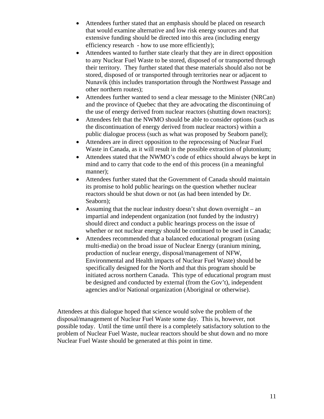- Attendees further stated that an emphasis should be placed on research that would examine alternative and low risk energy sources and that extensive funding should be directed into this area (including energy efficiency research - how to use more efficiently);
- Attendees wanted to further state clearly that they are in direct opposition to any Nuclear Fuel Waste to be stored, disposed of or transported through their territory. They further stated that these materials should also not be stored, disposed of or transported through territories near or adjacent to Nunavik (this includes transportation through the Northwest Passage and other northern routes);
- Attendees further wanted to send a clear message to the Minister (NRCan) and the province of Quebec that they are advocating the discontinuing of the use of energy derived from nuclear reactors (shutting down reactors);
- Attendees felt that the NWMO should be able to consider options (such as the discontinuation of energy derived from nuclear reactors) within a public dialogue process (such as what was proposed by Seaborn panel);
- Attendees are in direct opposition to the reprocessing of Nuclear Fuel Waste in Canada, as it will result in the possible extraction of plutonium;
- Attendees stated that the NWMO's code of ethics should always be kept in mind and to carry that code to the end of this process (in a meaningful manner);
- Attendees further stated that the Government of Canada should maintain its promise to hold public hearings on the question whether nuclear reactors should be shut down or not (as had been intended by Dr. Seaborn);
- Assuming that the nuclear industry doesn't shut down overnight an impartial and independent organization (not funded by the industry) should direct and conduct a public hearings process on the issue of whether or not nuclear energy should be continued to be used in Canada;
- Attendees recommended that a balanced educational program (using multi-media) on the broad issue of Nuclear Energy (uranium mining, production of nuclear energy, disposal/management of NFW, Environmental and Health impacts of Nuclear Fuel Waste) should be specifically designed for the North and that this program should be initiated across northern Canada. This type of educational program must be designed and conducted by external (from the Gov't), independent agencies and/or National organization (Aboriginal or otherwise).

Attendees at this dialogue hoped that science would solve the problem of the disposal/management of Nuclear Fuel Waste some day. This is, however, not possible today. Until the time until there is a completely satisfactory solution to the problem of Nuclear Fuel Waste, nuclear reactors should be shut down and no more Nuclear Fuel Waste should be generated at this point in time.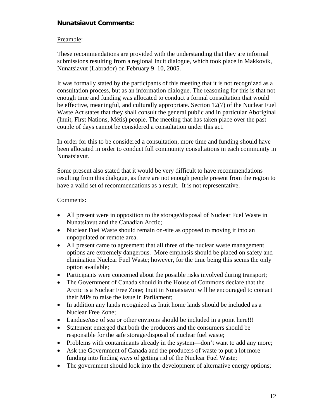### **Nunatsiavut Comments:**

#### Preamble:

These recommendations are provided with the understanding that they are informal submissions resulting from a regional Inuit dialogue, which took place in Makkovik, Nunatsiavut (Labrador) on February 9–10, 2005.

It was formally stated by the participants of this meeting that it is not recognized as a consultation process, but as an information dialogue. The reasoning for this is that not enough time and funding was allocated to conduct a formal consultation that would be effective, meaningful, and culturally appropriate. Section 12(7) of the Nuclear Fuel Waste Act states that they shall consult the general public and in particular Aboriginal (Inuit, First Nations, Métis) people. The meeting that has taken place over the past couple of days cannot be considered a consultation under this act.

In order for this to be considered a consultation, more time and funding should have been allocated in order to conduct full community consultations in each community in Nunatsiavut.

Some present also stated that it would be very difficult to have recommendations resulting from this dialogue, as there are not enough people present from the region to have a valid set of recommendations as a result. It is not representative.

#### Comments:

- All present were in opposition to the storage/disposal of Nuclear Fuel Waste in Nunatsiavut and the Canadian Arctic;
- Nuclear Fuel Waste should remain on-site as opposed to moving it into an unpopulated or remote area.
- All present came to agreement that all three of the nuclear waste management options are extremely dangerous. More emphasis should be placed on safety and elimination Nuclear Fuel Waste; however, for the time being this seems the only option available;
- Participants were concerned about the possible risks involved during transport;
- The Government of Canada should in the House of Commons declare that the Arctic is a Nuclear Free Zone; Inuit in Nunatsiavut will be encouraged to contact their MPs to raise the issue in Parliament;
- In addition any lands recognized as Inuit home lands should be included as a Nuclear Free Zone;
- Landuse/use of sea or other environs should be included in a point here!!!
- Statement emerged that both the producers and the consumers should be responsible for the safe storage/disposal of nuclear fuel waste;
- Problems with contaminants already in the system—don't want to add any more;
- Ask the Government of Canada and the producers of waste to put a lot more funding into finding ways of getting rid of the Nuclear Fuel Waste;
- The government should look into the development of alternative energy options;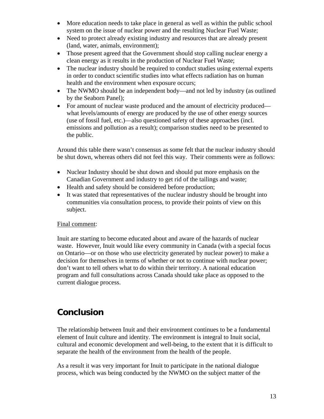- More education needs to take place in general as well as within the public school system on the issue of nuclear power and the resulting Nuclear Fuel Waste;
- Need to protect already existing industry and resources that are already present (land, water, animals, environment);
- Those present agreed that the Government should stop calling nuclear energy a clean energy as it results in the production of Nuclear Fuel Waste;
- The nuclear industry should be required to conduct studies using external experts in order to conduct scientific studies into what effects radiation has on human health and the environment when exposure occurs;
- The NWMO should be an independent body—and not led by industry (as outlined by the Seaborn Panel);
- For amount of nuclear waste produced and the amount of electricity produced what levels/amounts of energy are produced by the use of other energy sources (use of fossil fuel, etc.)—also questioned safety of these approaches (incl. emissions and pollution as a result); comparison studies need to be presented to the public.

Around this table there wasn't consensus as some felt that the nuclear industry should be shut down, whereas others did not feel this way. Their comments were as follows:

- Nuclear Industry should be shut down and should put more emphasis on the Canadian Government and industry to get rid of the tailings and waste;
- Health and safety should be considered before production;
- It was stated that representatives of the nuclear industry should be brought into communities via consultation process, to provide their points of view on this subject.

### Final comment:

Inuit are starting to become educated about and aware of the hazards of nuclear waste. However, Inuit would like every community in Canada (with a special focus on Ontario—or on those who use electricity generated by nuclear power) to make a decision for themselves in terms of whether or not to continue with nuclear power; don't want to tell others what to do within their territory. A national education program and full consultations across Canada should take place as opposed to the current dialogue process.

### **Conclusion**

The relationship between Inuit and their environment continues to be a fundamental element of Inuit culture and identity. The environment is integral to Inuit social, cultural and economic development and well-being, to the extent that it is difficult to separate the health of the environment from the health of the people.

As a result it was very important for Inuit to participate in the national dialogue process, which was being conducted by the NWMO on the subject matter of the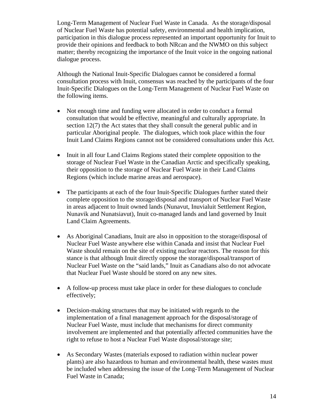Long-Term Management of Nuclear Fuel Waste in Canada. As the storage/disposal of Nuclear Fuel Waste has potential safety, environmental and health implication, participation in this dialogue process represented an important opportunity for Inuit to provide their opinions and feedback to both NRcan and the NWMO on this subject matter; thereby recognizing the importance of the Inuit voice in the ongoing national dialogue process.

Although the National Inuit-Specific Dialogues cannot be considered a formal consultation process with Inuit, consensus was reached by the participants of the four Inuit-Specific Dialogues on the Long-Term Management of Nuclear Fuel Waste on the following items.

- Not enough time and funding were allocated in order to conduct a formal consultation that would be effective, meaningful and culturally appropriate. In section 12(7) the Act states that they shall consult the general public and in particular Aboriginal people. The dialogues, which took place within the four Inuit Land Claims Regions cannot not be considered consultations under this Act.
- Inuit in all four Land Claims Regions stated their complete opposition to the storage of Nuclear Fuel Waste in the Canadian Arctic and specifically speaking, their opposition to the storage of Nuclear Fuel Waste in their Land Claims Regions (which include marine areas and aerospace).
- The participants at each of the four Inuit-Specific Dialogues further stated their complete opposition to the storage/disposal and transport of Nuclear Fuel Waste in areas adjacent to Inuit owned lands (Nunavut, Inuvialuit Settlement Region, Nunavik and Nunatsiavut), Inuit co-managed lands and land governed by Inuit Land Claim Agreements.
- As Aboriginal Canadians, Inuit are also in opposition to the storage/disposal of Nuclear Fuel Waste anywhere else within Canada and insist that Nuclear Fuel Waste should remain on the site of existing nuclear reactors. The reason for this stance is that although Inuit directly oppose the storage/disposal/transport of Nuclear Fuel Waste on the "said lands," Inuit as Canadians also do not advocate that Nuclear Fuel Waste should be stored on any new sites.
- A follow-up process must take place in order for these dialogues to conclude effectively;
- Decision-making structures that may be initiated with regards to the implementation of a final management approach for the disposal/storage of Nuclear Fuel Waste, must include that mechanisms for direct community involvement are implemented and that potentially affected communities have the right to refuse to host a Nuclear Fuel Waste disposal/storage site;
- As Secondary Wastes (materials exposed to radiation within nuclear power plants) are also hazardous to human and environmental health, these wastes must be included when addressing the issue of the Long-Term Management of Nuclear Fuel Waste in Canada;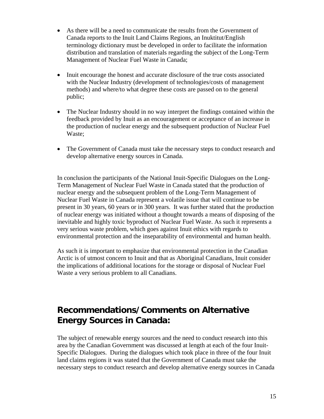- As there will be a need to communicate the results from the Government of Canada reports to the Inuit Land Claims Regions, an Inuktitut/English terminology dictionary must be developed in order to facilitate the information distribution and translation of materials regarding the subject of the Long-Term Management of Nuclear Fuel Waste in Canada;
- Inuit encourage the honest and accurate disclosure of the true costs associated with the Nuclear Industry (development of technologies/costs of management methods) and where/to what degree these costs are passed on to the general public;
- The Nuclear Industry should in no way interpret the findings contained within the feedback provided by Inuit as an encouragement or acceptance of an increase in the production of nuclear energy and the subsequent production of Nuclear Fuel Waste;
- The Government of Canada must take the necessary steps to conduct research and develop alternative energy sources in Canada.

In conclusion the participants of the National Inuit-Specific Dialogues on the Long-Term Management of Nuclear Fuel Waste in Canada stated that the production of nuclear energy and the subsequent problem of the Long-Term Management of Nuclear Fuel Waste in Canada represent a volatile issue that will continue to be present in 30 years, 60 years or in 300 years. It was further stated that the production of nuclear energy was initiated without a thought towards a means of disposing of the inevitable and highly toxic byproduct of Nuclear Fuel Waste. As such it represents a very serious waste problem, which goes against Inuit ethics with regards to environmental protection and the inseparability of environmental and human health.

As such it is important to emphasize that environmental protection in the Canadian Arctic is of utmost concern to Inuit and that as Aboriginal Canadians, Inuit consider the implications of additional locations for the storage or disposal of Nuclear Fuel Waste a very serious problem to all Canadians.

### **Recommendations/Comments on Alternative Energy Sources in Canada:**

The subject of renewable energy sources and the need to conduct research into this area by the Canadian Government was discussed at length at each of the four Inuit-Specific Dialogues. During the dialogues which took place in three of the four Inuit land claims regions it was stated that the Government of Canada must take the necessary steps to conduct research and develop alternative energy sources in Canada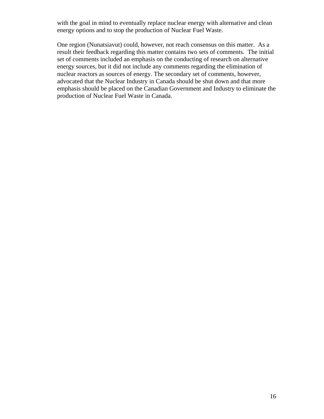with the goal in mind to eventually replace nuclear energy with alternative and clean energy options and to stop the production of Nuclear Fuel Waste.

One region (Nunatsiavut) could, however, not reach consensus on this matter. As a result their feedback regarding this matter contains two sets of comments. The initial set of comments included an emphasis on the conducting of research on alternative energy sources, but it did not include any comments regarding the elimination of nuclear reactors as sources of energy. The secondary set of comments, however, advocated that the Nuclear Industry in Canada should be shut down and that more emphasis should be placed on the Canadian Government and Industry to eliminate the production of Nuclear Fuel Waste in Canada.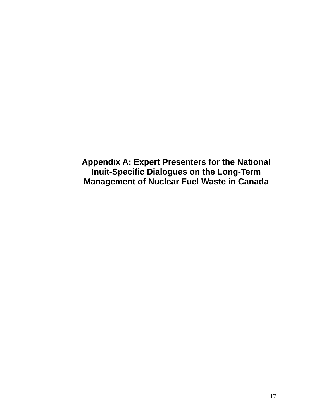**Appendix A: Expert Presenters for the National Inuit-Specific Dialogues on the Long-Term Management of Nuclear Fuel Waste in Canada**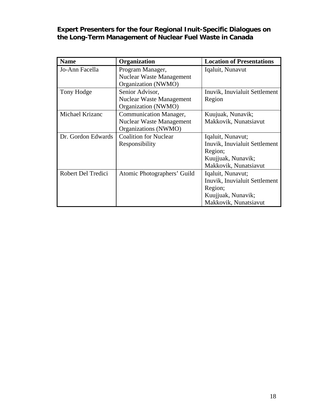**Expert Presenters for the four Regional Inuit-Specific Dialogues on the Long-Term Management of Nuclear Fuel Waste in Canada** 

| <b>Name</b>        | Organization                    | <b>Location of Presentations</b> |
|--------------------|---------------------------------|----------------------------------|
| Jo-Ann Facella     | Program Manager,                | Iqaluit, Nunavut                 |
|                    | <b>Nuclear Waste Management</b> |                                  |
|                    | Organization (NWMO)             |                                  |
| Tony Hodge         | Senior Advisor,                 | Inuvik, Inuvialuit Settlement    |
|                    | <b>Nuclear Waste Management</b> | Region                           |
|                    | Organization (NWMO)             |                                  |
| Michael Krizanc    | <b>Communication Manager,</b>   | Kuujuak, Nunavik;                |
|                    | <b>Nuclear Waste Management</b> | Makkovik, Nunatsiavut            |
|                    | Organizations (NWMO)            |                                  |
| Dr. Gordon Edwards | <b>Coalition for Nuclear</b>    | Iqaluit, Nunavut;                |
|                    | Responsibility                  | Inuvik, Inuvialuit Settlement    |
|                    |                                 | Region;                          |
|                    |                                 | Kuujjuak, Nunavik;               |
|                    |                                 | Makkovik, Nunatsiavut            |
| Robert Del Tredici | Atomic Photographers' Guild     | Iqaluit, Nunavut;                |
|                    |                                 | Inuvik, Inuvialuit Settlement    |
|                    |                                 | Region;                          |
|                    |                                 | Kuujjuak, Nunavik;               |
|                    |                                 | Makkovik, Nunatsiavut            |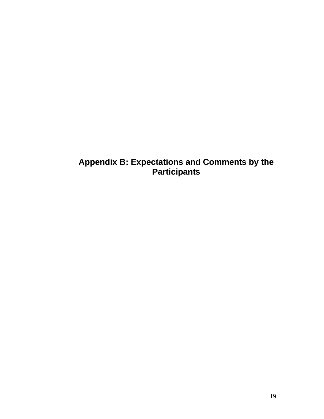**Appendix B: Expectations and Comments by the Participants**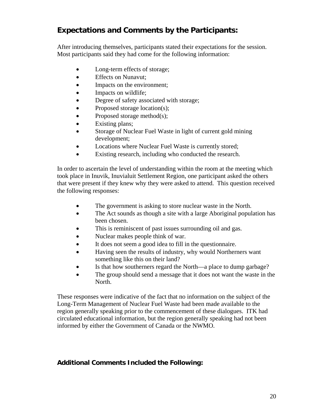### **Expectations and Comments by the Participants:**

After introducing themselves, participants stated their expectations for the session. Most participants said they had come for the following information:

- Long-term effects of storage;
- Effects on Nunavut;
- Impacts on the environment;
- Impacts on wildlife;
- Degree of safety associated with storage;
- Proposed storage location(s);
- Proposed storage method $(s)$ ;
- Existing plans;
- Storage of Nuclear Fuel Waste in light of current gold mining development;
- Locations where Nuclear Fuel Waste is currently stored;
- Existing research, including who conducted the research.

In order to ascertain the level of understanding within the room at the meeting which took place in Inuvik, Inuvialuit Settlement Region, one participant asked the others that were present if they knew why they were asked to attend. This question received the following responses:

- The government is asking to store nuclear waste in the North.
- The Act sounds as though a site with a large Aboriginal population has been chosen.
- This is reminiscent of past issues surrounding oil and gas.
- Nuclear makes people think of war.
- It does not seem a good idea to fill in the questionnaire.
- Having seen the results of industry, why would Northerners want something like this on their land?
- Is that how southerners regard the North—a place to dump garbage?
- The group should send a message that it does not want the waste in the North.

These responses were indicative of the fact that no information on the subject of the Long-Term Management of Nuclear Fuel Waste had been made available to the region generally speaking prior to the commencement of these dialogues. ITK had circulated educational information, but the region generally speaking had not been informed by either the Government of Canada or the NWMO.

### **Additional Comments Included the Following:**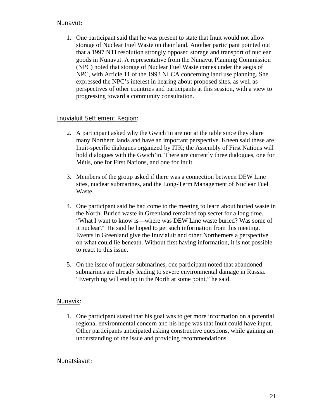### Nunavut:

1. One participant said that he was present to state that Inuit would not allow storage of Nuclear Fuel Waste on their land. Another participant pointed out that a 1997 NTI resolution strongly opposed storage and transport of nuclear goods in Nunavut. A representative from the Nunavut Planning Commission (NPC) noted that storage of Nuclear Fuel Waste comes under the aegis of NPC, with Article 11 of the 1993 NLCA concerning land use planning. She expressed the NPC's interest in hearing about proposed sites, as well as perspectives of other countries and participants at this session, with a view to progressing toward a community consultation.

#### Inuvialuit Settlement Region:

- 2. A participant asked why the Gwich'in are not at the table since they share many Northern lands and have an important perspective. Kneen said these are Inuit-specific dialogues organized by ITK; the Assembly of First Nations will hold dialogues with the Gwich'in. There are currently three dialogues, one for Métis, one for First Nations, and one for Inuit.
- 3. Members of the group asked if there was a connection between DEW Line sites, nuclear submarines, and the Long-Term Management of Nuclear Fuel Waste.
- 4. One participant said he had come to the meeting to learn about buried waste in the North. Buried waste in Greenland remained top secret for a long time. "What I want to know is—where was DEW Line waste buried? Was some of it nuclear?" He said he hoped to get such information from this meeting. Events in Greenland give the Inuvialuit and other Northerners a perspective on what could lie beneath. Without first having information, it is not possible to react to this issue.
- 5. On the issue of nuclear submarines, one participant noted that abandoned submarines are already leading to severe environmental damage in Russia. "Everything will end up in the North at some point," he said.

### Nunavik:

1. One participant stated that his goal was to get more information on a potential regional environmental concern and his hope was that Inuit could have input. Other participants anticipated asking constructive questions, while gaining an understanding of the issue and providing recommendations.

#### Nunatsiavut: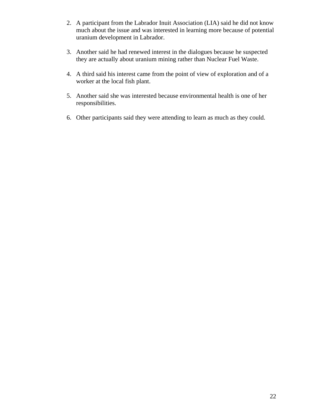- 2. A participant from the Labrador Inuit Association (LIA) said he did not know much about the issue and was interested in learning more because of potential uranium development in Labrador.
- 3. Another said he had renewed interest in the dialogues because he suspected they are actually about uranium mining rather than Nuclear Fuel Waste.
- 4. A third said his interest came from the point of view of exploration and of a worker at the local fish plant.
- 5. Another said she was interested because environmental health is one of her responsibilities.
- 6. Other participants said they were attending to learn as much as they could.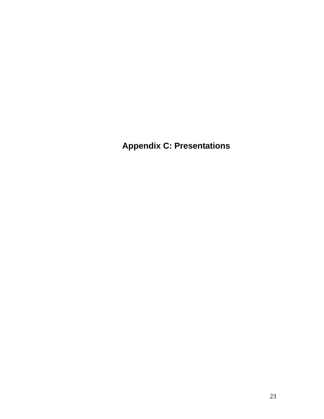**Appendix C: Presentations**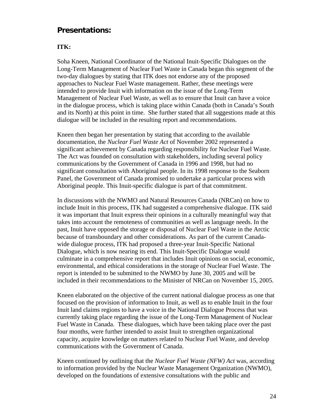### **Presentations:**

#### **ITK:**

Soha Kneen, National Coordinator of the National Inuit-Specific Dialogues on the Long-Term Management of Nuclear Fuel Waste in Canada began this segment of the two-day dialogues by stating that ITK does not endorse any of the proposed approaches to Nuclear Fuel Waste management. Rather, these meetings were intended to provide Inuit with information on the issue of the Long-Term Management of Nuclear Fuel Waste, as well as to ensure that Inuit can have a voice in the dialogue process, which is taking place within Canada (both in Canada's South and its North) at this point in time. She further stated that all suggestions made at this dialogue will be included in the resulting report and recommendations.

Kneen then began her presentation by stating that according to the available documentation, the *Nuclear Fuel Waste Act* of November 2002 represented a significant achievement by Canada regarding responsibility for Nuclear Fuel Waste. The Act was founded on consultation with stakeholders, including several policy communications by the Government of Canada in 1996 and 1998, but had no significant consultation with Aboriginal people. In its 1998 response to the Seaborn Panel, the Government of Canada promised to undertake a particular process with Aboriginal people. This Inuit-specific dialogue is part of that commitment.

In discussions with the NWMO and Natural Resources Canada (NRCan) on how to include Inuit in this process, ITK had suggested a comprehensive dialogue. ITK said it was important that Inuit express their opinions in a culturally meaningful way that takes into account the remoteness of communities as well as language needs. In the past, Inuit have opposed the storage or disposal of Nuclear Fuel Waste in the Arctic because of transboundary and other considerations. As part of the current Canadawide dialogue process, ITK had proposed a three-year Inuit-Specific National Dialogue, which is now nearing its end. This Inuit-Specific Dialogue would culminate in a comprehensive report that includes Inuit opinions on social, economic, environmental, and ethical considerations in the storage of Nuclear Fuel Waste. The report is intended to be submitted to the NWMO by June 30, 2005 and will be included in their recommendations to the Minister of NRCan on November 15, 2005.

Kneen elaborated on the objective of the current national dialogue process as one that focused on the provision of information to Inuit, as well as to enable Inuit in the four Inuit land claims regions to have a voice in the National Dialogue Process that was currently taking place regarding the issue of the Long-Term Management of Nuclear Fuel Waste in Canada. These dialogues, which have been taking place over the past four months, were further intended to assist Inuit to strengthen organizational capacity, acquire knowledge on matters related to Nuclear Fuel Waste, and develop communications with the Government of Canada.

Kneen continued by outlining that the *Nuclear Fuel Waste (NFW) Act* was, according to information provided by the Nuclear Waste Management Organization (NWMO), developed on the foundations of extensive consultations with the public and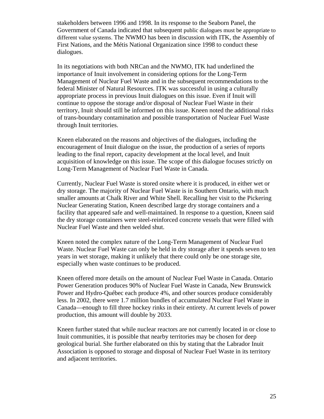stakeholders between 1996 and 1998. In its response to the Seaborn Panel, the Government of Canada indicated that subsequent public dialogues must be appropriate to different value systems. The NWMO has been in discussion with ITK, the Assembly of First Nations, and the Métis National Organization since 1998 to conduct these dialogues.

In its negotiations with both NRCan and the NWMO, ITK had underlined the importance of Inuit involvement in considering options for the Long-Term Management of Nuclear Fuel Waste and in the subsequent recommendations to the federal Minister of Natural Resources. ITK was successful in using a culturally appropriate process in previous Inuit dialogues on this issue. Even if Inuit will continue to oppose the storage and/or disposal of Nuclear Fuel Waste in their territory, Inuit should still be informed on this issue. Kneen noted the additional risks of trans-boundary contamination and possible transportation of Nuclear Fuel Waste through Inuit territories.

Kneen elaborated on the reasons and objectives of the dialogues, including the encouragement of Inuit dialogue on the issue, the production of a series of reports leading to the final report, capacity development at the local level, and Inuit acquisition of knowledge on this issue. The scope of this dialogue focuses strictly on Long-Term Management of Nuclear Fuel Waste in Canada.

Currently, Nuclear Fuel Waste is stored onsite where it is produced, in either wet or dry storage. The majority of Nuclear Fuel Waste is in Southern Ontario, with much smaller amounts at Chalk River and White Shell. Recalling her visit to the Pickering Nuclear Generating Station, Kneen described large dry storage containers and a facility that appeared safe and well-maintained. In response to a question, Kneen said the dry storage containers were steel-reinforced concrete vessels that were filled with Nuclear Fuel Waste and then welded shut.

Kneen noted the complex nature of the Long-Term Management of Nuclear Fuel Waste. Nuclear Fuel Waste can only be held in dry storage after it spends seven to ten years in wet storage, making it unlikely that there could only be one storage site, especially when waste continues to be produced.

Kneen offered more details on the amount of Nuclear Fuel Waste in Canada. Ontario Power Generation produces 90% of Nuclear Fuel Waste in Canada, New Brunswick Power and Hydro-Québec each produce 4%, and other sources produce considerably less. In 2002, there were 1.7 million bundles of accumulated Nuclear Fuel Waste in Canada—enough to fill three hockey rinks in their entirety. At current levels of power production, this amount will double by 2033.

Kneen further stated that while nuclear reactors are not currently located in or close to Inuit communities, it is possible that nearby territories may be chosen for deep geological burial. She further elaborated on this by stating that the Labrador Inuit Association is opposed to storage and disposal of Nuclear Fuel Waste in its territory and adjacent territories.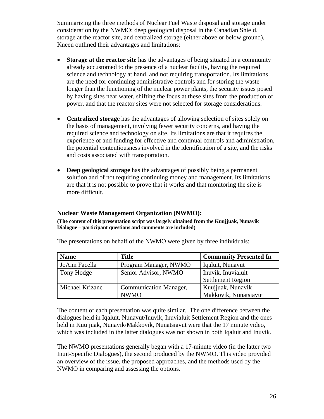Summarizing the three methods of Nuclear Fuel Waste disposal and storage under consideration by the NWMO; deep geological disposal in the Canadian Shield, storage at the reactor site, and centralized storage (either above or below ground), Kneen outlined their advantages and limitations:

- **Storage at the reactor site** has the advantages of being situated in a community already accustomed to the presence of a nuclear facility, having the required science and technology at hand, and not requiring transportation. Its limitations are the need for continuing administrative controls and for storing the waste longer than the functioning of the nuclear power plants, the security issues posed by having sites near water, shifting the focus at these sites from the production of power, and that the reactor sites were not selected for storage considerations.
- **Centralized storage** has the advantages of allowing selection of sites solely on the basis of management, involving fewer security concerns, and having the required science and technology on site. Its limitations are that it requires the experience of and funding for effective and continual controls and administration, the potential contentiousness involved in the identification of a site, and the risks and costs associated with transportation.
- **Deep geological storage** has the advantages of possibly being a permanent solution and of not requiring continuing money and management. Its limitations are that it is not possible to prove that it works and that monitoring the site is more difficult.

#### **Nuclear Waste Management Organization (NWMO):**

**(The content of this presentation script was largely obtained from the Kuujjuak, Nunavik Dialogue – participant questions and comments are included)** 

| <b>Name</b>     | <b>Title</b>                  | <b>Community Presented In</b> |
|-----------------|-------------------------------|-------------------------------|
| JoAnn Facella   | Program Manager, NWMO         | Iqaluit, Nunavut              |
| Tony Hodge      | Senior Advisor, NWMO          | Inuvik, Inuvialuit            |
|                 |                               | <b>Settlement Region</b>      |
| Michael Krizanc | <b>Communication Manager,</b> | Kuujjuak, Nunavik             |
|                 | <b>NWMO</b>                   | Makkovik, Nunatsiavut         |

The presentations on behalf of the NWMO were given by three individuals:

The content of each presentation was quite similar. The one difference between the dialogues held in Iqaluit, Nunavut/Inuvik, Inuvialuit Settlement Region and the ones held in Kuujjuak, Nunavik/Makkovik, Nunatsiavut were that the 17 minute video, which was included in the latter dialogues was not shown in both Iqaluit and Inuvik.

The NWMO presentations generally began with a 17-minute video (in the latter two Inuit-Specific Dialogues), the second produced by the NWMO. This video provided an overview of the issue, the proposed approaches, and the methods used by the NWMO in comparing and assessing the options.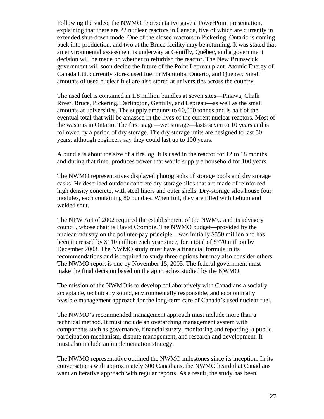Following the video, the NWMO representative gave a PowerPoint presentation, explaining that there are 22 nuclear reactors in Canada, five of which are currently in extended shut-down mode. One of the closed reactors in Pickering, Ontario is coming back into production, and two at the Bruce facility may be returning. It was stated that an environmental assessment is underway at Gentilly, Québec, and a government decision will be made on whether to refurbish the reactor**.** The New Brunswick government will soon decide the future of the Point Lepreau plant. Atomic Energy of Canada Ltd. currently stores used fuel in Manitoba, Ontario, and Québec. Small amounts of used nuclear fuel are also stored at universities across the country.

The used fuel is contained in 1.8 million bundles at seven sites—Pinawa, Chalk River, Bruce, Pickering, Darlington, Gentilly, and Lepreau—as well as the small amounts at universities. The supply amounts to 60,000 tonnes and is half of the eventual total that will be amassed in the lives of the current nuclear reactors. Most of the waste is in Ontario. The first stage—wet storage—lasts seven to 10 years and is followed by a period of dry storage. The dry storage units are designed to last 50 years, although engineers say they could last up to 100 years.

A bundle is about the size of a fire log. It is used in the reactor for 12 to 18 months and during that time, produces power that would supply a household for 100 years.

The NWMO representatives displayed photographs of storage pools and dry storage casks. He described outdoor concrete dry storage silos that are made of reinforced high density concrete, with steel liners and outer shells. Dry-storage silos house four modules, each containing 80 bundles. When full, they are filled with helium and welded shut.

The NFW Act of 2002 required the establishment of the NWMO and its advisory council, whose chair is David Crombie. The NWMO budget—provided by the nuclear industry on the polluter-pay principle—was initially \$550 million and has been increased by \$110 million each year since, for a total of \$770 million by December 2003. The NWMO study must have a financial formula in its recommendations and is required to study three options but may also consider others. The NWMO report is due by November 15, 2005. The federal government must make the final decision based on the approaches studied by the NWMO.

The mission of the NWMO is to develop collaboratively with Canadians a socially acceptable, technically sound, environmentally responsible, and economically feasible management approach for the long-term care of Canada's used nuclear fuel.

The NWMO's recommended management approach must include more than a technical method. It must include an overarching management system with components such as governance, financial surety, monitoring and reporting, a public participation mechanism, dispute management, and research and development. It must also include an implementation strategy.

The NWMO representative outlined the NWMO milestones since its inception. In its conversations with approximately 300 Canadians, the NWMO heard that Canadians want an iterative approach with regular reports. As a result, the study has been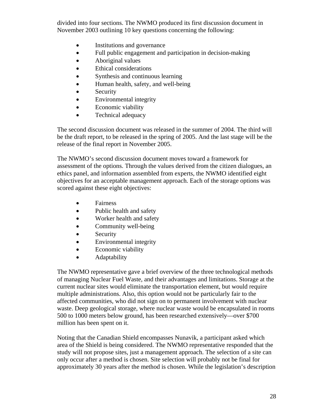divided into four sections. The NWMO produced its first discussion document in November 2003 outlining 10 key questions concerning the following:

- Institutions and governance
- Full public engagement and participation in decision-making
- Aboriginal values
- Ethical considerations
- Synthesis and continuous learning
- Human health, safety, and well-being
- Security
- Environmental integrity
- Economic viability
- Technical adequacy

The second discussion document was released in the summer of 2004. The third will be the draft report, to be released in the spring of 2005. And the last stage will be the release of the final report in November 2005.

The NWMO's second discussion document moves toward a framework for assessment of the options. Through the values derived from the citizen dialogues, an ethics panel, and information assembled from experts, the NWMO identified eight objectives for an acceptable management approach. Each of the storage options was scored against these eight objectives:

- Fairness
- Public health and safety
- Worker health and safety
- Community well-being
- Security
- Environmental integrity
- Economic viability
- **Adaptability**

The NWMO representative gave a brief overview of the three technological methods of managing Nuclear Fuel Waste, and their advantages and limitations. Storage at the current nuclear sites would eliminate the transportation element, but would require multiple administrations. Also, this option would not be particularly fair to the affected communities, who did not sign on to permanent involvement with nuclear waste. Deep geological storage, where nuclear waste would be encapsulated in rooms 500 to 1000 meters below ground, has been researched extensively—over \$700 million has been spent on it.

Noting that the Canadian Shield encompasses Nunavik, a participant asked which area of the Shield is being considered. The NWMO representative responded that the study will not propose sites, just a management approach. The selection of a site can only occur after a method is chosen. Site selection will probably not be final for approximately 30 years after the method is chosen. While the legislation's description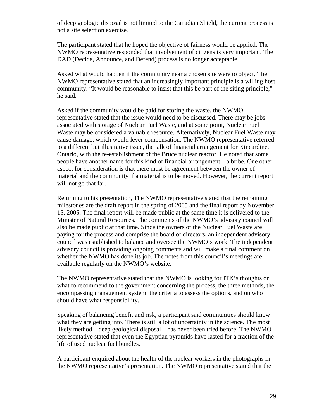of deep geologic disposal is not limited to the Canadian Shield, the current process is not a site selection exercise.

The participant stated that he hoped the objective of fairness would be applied. The NWMO representative responded that involvement of citizens is very important. The DAD (Decide, Announce, and Defend) process is no longer acceptable.

Asked what would happen if the community near a chosen site were to object, The NWMO representative stated that an increasingly important principle is a willing host community. "It would be reasonable to insist that this be part of the siting principle," he said.

Asked if the community would be paid for storing the waste, the NWMO representative stated that the issue would need to be discussed. There may be jobs associated with storage of Nuclear Fuel Waste, and at some point, Nuclear Fuel Waste may be considered a valuable resource. Alternatively, Nuclear Fuel Waste may cause damage, which would lever compensation. The NWMO representative referred to a different but illustrative issue, the talk of financial arrangement for Kincardine, Ontario, with the re-establishment of the Bruce nuclear reactor. He noted that some people have another name for this kind of financial arrangement—a bribe. One other aspect for consideration is that there must be agreement between the owner of material and the community if a material is to be moved. However, the current report will not go that far.

Returning to his presentation, The NWMO representative stated that the remaining milestones are the draft report in the spring of 2005 and the final report by November 15, 2005. The final report will be made public at the same time it is delivered to the Minister of Natural Resources. The comments of the NWMO's advisory council will also be made public at that time. Since the owners of the Nuclear Fuel Waste are paying for the process and comprise the board of directors, an independent advisory council was established to balance and oversee the NWMO's work. The independent advisory council is providing ongoing comments and will make a final comment on whether the NWMO has done its job. The notes from this council's meetings are available regularly on the NWMO's website.

The NWMO representative stated that the NWMO is looking for ITK's thoughts on what to recommend to the government concerning the process, the three methods, the encompassing management system, the criteria to assess the options, and on who should have what responsibility.

Speaking of balancing benefit and risk, a participant said communities should know what they are getting into. There is still a lot of uncertainty in the science. The most likely method—deep geological disposal—has never been tried before. The NWMO representative stated that even the Egyptian pyramids have lasted for a fraction of the life of used nuclear fuel bundles.

A participant enquired about the health of the nuclear workers in the photographs in the NWMO representative's presentation. The NWMO representative stated that the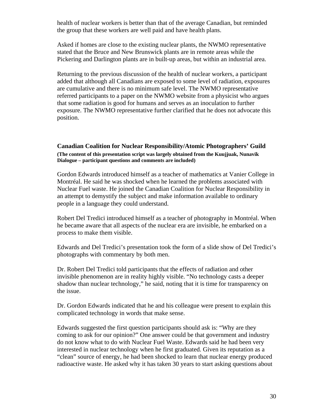health of nuclear workers is better than that of the average Canadian, but reminded the group that these workers are well paid and have health plans.

Asked if homes are close to the existing nuclear plants, the NWMO representative stated that the Bruce and New Brunswick plants are in remote areas while the Pickering and Darlington plants are in built-up areas, but within an industrial area.

Returning to the previous discussion of the health of nuclear workers, a participant added that although all Canadians are exposed to some level of radiation, exposures are cumulative and there is no minimum safe level. The NWMO representative referred participants to a paper on the NWMO website from a physicist who argues that some radiation is good for humans and serves as an inoculation to further exposure. The NWMO representative further clarified that he does not advocate this position.

#### **Canadian Coalition for Nuclear Responsibility/Atomic Photographers' Guild (The content of this presentation script was largely obtained from the Kuujjuak, Nunavik Dialogue – participant questions and comments are included)**

Gordon Edwards introduced himself as a teacher of mathematics at Vanier College in Montréal. He said he was shocked when he learned the problems associated with Nuclear Fuel waste. He joined the Canadian Coalition for Nuclear Responsibility in an attempt to demystify the subject and make information available to ordinary people in a language they could understand.

Robert Del Tredici introduced himself as a teacher of photography in Montréal. When he became aware that all aspects of the nuclear era are invisible, he embarked on a process to make them visible.

Edwards and Del Tredici's presentation took the form of a slide show of Del Tredici's photographs with commentary by both men.

Dr. Robert Del Tredici told participants that the effects of radiation and other invisible phenomenon are in reality highly visible. "No technology casts a deeper shadow than nuclear technology," he said, noting that it is time for transparency on the issue.

Dr. Gordon Edwards indicated that he and his colleague were present to explain this complicated technology in words that make sense.

Edwards suggested the first question participants should ask is: "Why are they coming to ask for our opinion?" One answer could be that government and industry do not know what to do with Nuclear Fuel Waste. Edwards said he had been very interested in nuclear technology when he first graduated. Given its reputation as a "clean" source of energy, he had been shocked to learn that nuclear energy produced radioactive waste. He asked why it has taken 30 years to start asking questions about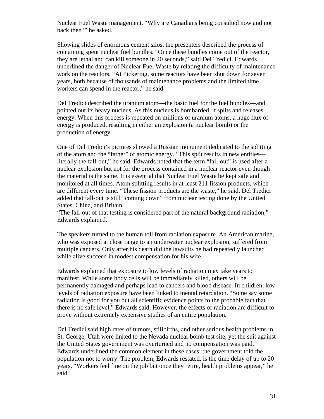Nuclear Fuel Waste management. "Why are Canadians being consulted now and not back then?" he asked.

Showing slides of enormous cement silos, the presenters described the process of containing spent nuclear fuel bundles. "Once these bundles come out of the reactor, they are lethal and can kill someone in 20 seconds," said Del Tredici. Edwards underlined the danger of Nuclear Fuel Waste by relating the difficulty of maintenance work on the reactors. "At Pickering, some reactors have been shut down for seven years, both because of thousands of maintenance problems and the limited time workers can spend in the reactor," he said.

Del Tredici described the uranium atom—the basic fuel for the fuel bundles—and pointed out its heavy nucleus. As this nucleus is bombarded, it splits and releases energy. When this process is repeated on millions of uranium atoms, a huge flux of energy is produced, resulting in either an explosion (a nuclear bomb) or the production of energy.

One of Del Tredici's pictures showed a Russian monument dedicated to the splitting of the atom and the "father" of atomic energy. "This split results in new entities literally the fall-out," he said. Edwards noted that the term "fall-out" is used after a nuclear explosion but not for the process contained in a nuclear reactor even though the material is the same. It is essential that Nuclear Fuel Waste be kept safe and monitored at all times. Atom splitting results in at least 211 fission products, which are different every time. "These fission products are the waste," he said. Del Tredici added that fall-out is still "coming down" from nuclear testing done by the United States, China, and Britain.

"The fall-out of that testing is considered part of the natural background radiation," Edwards explained.

The speakers turned to the human toll from radiation exposure. An American marine, who was exposed at close range to an underwater nuclear explosion, suffered from multiple cancers. Only after his death did the lawsuits he had repeatedly launched while alive succeed in modest compensation for his wife.

Edwards explained that exposure to low levels of radiation may take years to manifest. While some body cells will be immediately killed, others will be permanently damaged and perhaps lead to cancers and blood disease. In children, low levels of radiation exposure have been linked to mental retardation. "Some say some radiation is good for you but all scientific evidence points to the probable fact that there is no safe level," Edwards said. However, the effects of radiation are difficult to prove without extremely expensive studies of an entire population.

Del Tredici said high rates of tumors, stillbirths, and other serious health problems in St. George, Utah were linked to the Nevada nuclear bomb test site, yet the suit against the United States government was overturned and no compensation was paid. Edwards underlined the common element in these cases: the government told the population not to worry. The problem, Edwards restated, is the time delay of up to 20 years. "Workers feel fine on the job but once they retire, health problems appear," he said.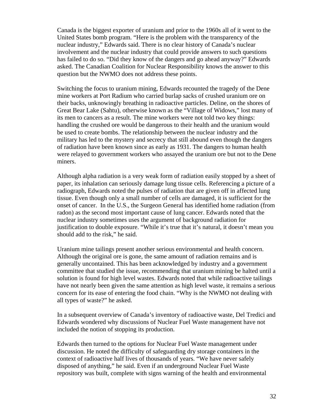Canada is the biggest exporter of uranium and prior to the 1960s all of it went to the United States bomb program. "Here is the problem with the transparency of the nuclear industry," Edwards said. There is no clear history of Canada's nuclear involvement and the nuclear industry that could provide answers to such questions has failed to do so. "Did they know of the dangers and go ahead anyway?" Edwards asked. The Canadian Coalition for Nuclear Responsibility knows the answer to this question but the NWMO does not address these points.

Switching the focus to uranium mining, Edwards recounted the tragedy of the Dene mine workers at Port Radium who carried burlap sacks of crushed uranium ore on their backs, unknowingly breathing in radioactive particles. Deline, on the shores of Great Bear Lake (Sahtu), otherwise known as the "Village of Widows," lost many of its men to cancers as a result. The mine workers were not told two key things: handling the crushed ore would be dangerous to their health and the uranium would be used to create bombs. The relationship between the nuclear industry and the military has led to the mystery and secrecy that still abound even though the dangers of radiation have been known since as early as 1931. The dangers to human health were relayed to government workers who assayed the uranium ore but not to the Dene miners.

Although alpha radiation is a very weak form of radiation easily stopped by a sheet of paper, its inhalation can seriously damage lung tissue cells. Referencing a picture of a radiograph, Edwards noted the pulses of radiation that are given off in affected lung tissue. Even though only a small number of cells are damaged, it is sufficient for the onset of cancer. In the U.S., the Surgeon General has identified home radiation (from radon) as the second most important cause of lung cancer. Edwards noted that the nuclear industry sometimes uses the argument of background radiation for justification to double exposure. "While it's true that it's natural, it doesn't mean you should add to the risk," he said.

Uranium mine tailings present another serious environmental and health concern. Although the original ore is gone, the same amount of radiation remains and is generally uncontained. This has been acknowledged by industry and a government committee that studied the issue, recommending that uranium mining be halted until a solution is found for high level wastes. Edwards noted that while radioactive tailings have not nearly been given the same attention as high level waste, it remains a serious concern for its ease of entering the food chain. "Why is the NWMO not dealing with all types of waste?" he asked.

In a subsequent overview of Canada's inventory of radioactive waste, Del Tredici and Edwards wondered why discussions of Nuclear Fuel Waste management have not included the notion of stopping its production.

Edwards then turned to the options for Nuclear Fuel Waste management under discussion. He noted the difficulty of safeguarding dry storage containers in the context of radioactive half lives of thousands of years. "We have never safely disposed of anything," he said. Even if an underground Nuclear Fuel Waste repository was built, complete with signs warning of the health and environmental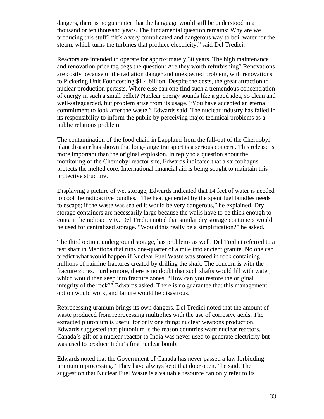dangers, there is no guarantee that the language would still be understood in a thousand or ten thousand years. The fundamental question remains: Why are we producing this stuff? "It's a very complicated and dangerous way to boil water for the steam, which turns the turbines that produce electricity," said Del Tredici.

Reactors are intended to operate for approximately 30 years. The high maintenance and renovation price tag begs the question: Are they worth refurbishing? Renovations are costly because of the radiation danger and unexpected problem, with renovations to Pickering Unit Four costing \$1.4 billion. Despite the costs, the great attraction to nuclear production persists. Where else can one find such a tremendous concentration of energy in such a small pellet? Nuclear energy sounds like a good idea, so clean and well-safeguarded, but problem arise from its usage. "You have accepted an eternal commitment to look after the waste," Edwards said. The nuclear industry has failed in its responsibility to inform the public by perceiving major technical problems as a public relations problem.

The contamination of the food chain in Lappland from the fall-out of the Chernobyl plant disaster has shown that long-range transport is a serious concern. This release is more important than the original explosion. In reply to a question about the monitoring of the Chernobyl reactor site, Edwards indicated that a sarcophagus protects the melted core. International financial aid is being sought to maintain this protective structure.

Displaying a picture of wet storage, Edwards indicated that 14 feet of water is needed to cool the radioactive bundles. "The heat generated by the spent fuel bundles needs to escape; if the waste was sealed it would be very dangerous," he explained. Dry storage containers are necessarily large because the walls have to be thick enough to contain the radioactivity. Del Tredici noted that similar dry storage containers would be used for centralized storage. "Would this really be a simplification?" he asked.

The third option, underground storage, has problems as well. Del Tredici referred to a test shaft in Manitoba that runs one-quarter of a mile into ancient granite. No one can predict what would happen if Nuclear Fuel Waste was stored in rock containing millions of hairline fractures created by drilling the shaft. The concern is with the fracture zones. Furthermore, there is no doubt that such shafts would fill with water, which would then seep into fracture zones. "How can you restore the original integrity of the rock?" Edwards asked. There is no guarantee that this management option would work, and failure would be disastrous.

Reprocessing uranium brings its own dangers. Del Tredici noted that the amount of waste produced from reprocessing multiplies with the use of corrosive acids. The extracted plutonium is useful for only one thing: nuclear weapons production. Edwards suggested that plutonium is the reason countries want nuclear reactors. Canada's gift of a nuclear reactor to India was never used to generate electricity but was used to produce India's first nuclear bomb.

Edwards noted that the Government of Canada has never passed a law forbidding uranium reprocessing. "They have always kept that door open," he said. The suggestion that Nuclear Fuel Waste is a valuable resource can only refer to its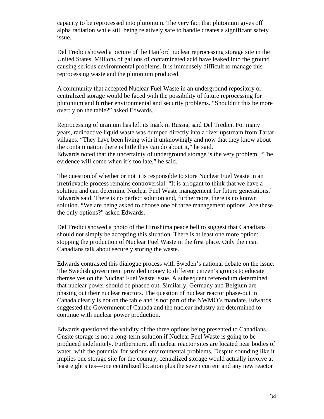capacity to be reprocessed into plutonium. The very fact that plutonium gives off alpha radiation while still being relatively safe to handle creates a significant safety issue.

Del Tredici showed a picture of the Hanford nuclear reprocessing storage site in the United States. Millions of gallons of contaminated acid have leaked into the ground causing serious environmental problems. It is immensely difficult to manage this reprocessing waste and the plutonium produced.

A community that accepted Nuclear Fuel Waste in an underground repository or centralized storage would be faced with the possibility of future reprocessing for plutonium and further environmental and security problems. "Shouldn't this be more overtly on the table?" asked Edwards.

Reprocessing of uranium has left its mark in Russia, said Del Tredici. For many years, radioactive liquid waste was dumped directly into a river upstream from Tartar villages. "They have been living with it unknowingly and now that they know about the contamination there is little they can do about it," he said. Edwards noted that the uncertainty of underground storage is the very problem. "The evidence will come when it's too late," he said.

The question of whether or not it is responsible to store Nuclear Fuel Waste in an irretrievable process remains controversial. "It is arrogant to think that we have a solution and can determine Nuclear Fuel Waste management for future generations," Edwards said. There is no perfect solution and, furthermore, there is no known solution. "We are being asked to choose one of three management options. Are these the only options?" asked Edwards.

Del Tredici showed a photo of the Hiroshima peace bell to suggest that Canadians should not simply be accepting this situation. There is at least one more option: stopping the production of Nuclear Fuel Waste in the first place. Only then can Canadians talk about securely storing the waste.

Edwards contrasted this dialogue process with Sweden's national debate on the issue. The Swedish government provided money to different citizen's groups to educate themselves on the Nuclear Fuel Waste issue. A subsequent referendum determined that nuclear power should be phased out. Similarly, Germany and Belgium are phasing out their nuclear reactors. The question of nuclear reactor phase-out in Canada clearly is not on the table and is not part of the NWMO's mandate. Edwards suggested the Government of Canada and the nuclear industry are determined to continue with nuclear power production.

Edwards questioned the validity of the three options being presented to Canadians. Onsite storage is not a long-term solution if Nuclear Fuel Waste is going to be produced indefinitely. Furthermore, all nuclear reactor sites are located near bodies of water, with the potential for serious environmental problems. Despite sounding like it implies one storage site for the country, centralized storage would actually involve at least eight sites—one centralized location plus the seven current and any new reactor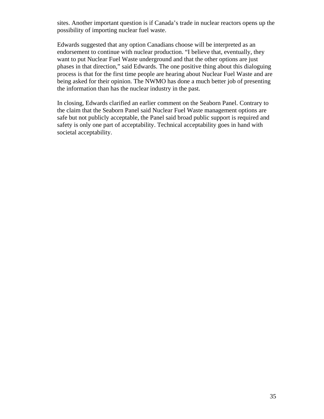sites. Another important question is if Canada's trade in nuclear reactors opens up the possibility of importing nuclear fuel waste.

Edwards suggested that any option Canadians choose will be interpreted as an endorsement to continue with nuclear production. "I believe that, eventually, they want to put Nuclear Fuel Waste underground and that the other options are just phases in that direction," said Edwards. The one positive thing about this dialoguing process is that for the first time people are hearing about Nuclear Fuel Waste and are being asked for their opinion. The NWMO has done a much better job of presenting the information than has the nuclear industry in the past.

In closing, Edwards clarified an earlier comment on the Seaborn Panel. Contrary to the claim that the Seaborn Panel said Nuclear Fuel Waste management options are safe but not publicly acceptable, the Panel said broad public support is required and safety is only one part of acceptability. Technical acceptability goes in hand with societal acceptability.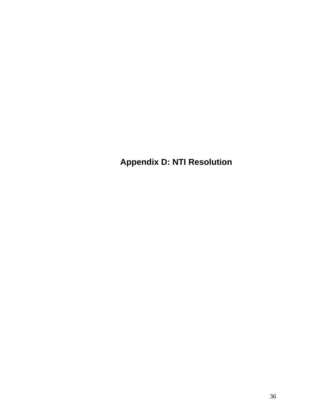**Appendix D: NTI Resolution**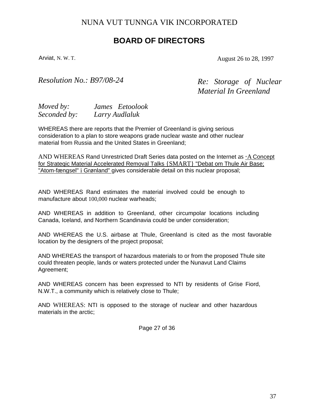### NUNA VUT TUNNGA VIK INCORPORATED

### **BOARD OF DIRECTORS**

Arviat, N. W. T. **August 26 to 28, 1997** 

*Resolution No.: B97/08-24 Re: Storage of Nuclear* 

*Material In Greenland* 

| Moved by:    | James Eetoolook |
|--------------|-----------------|
| Seconded by: | Larry Audlaluk  |

WHEREAS there are reports that the Premier of Greenland is giving serious consideration to a plan to store weapons grade nuclear waste and other nuclear material from Russia and the United States in Greenland;

AND WHEREAS Rand Unrestricted Draft Series data posted on the Internet as "A Concept for Strateqic Material Accelerated Removal Talks {SMART} "Debat om Thule Air Base; "Atom-fængsel" i Grønland" gives considerable detail on this nuclear proposal;

AND WHEREAS Rand estimates the material involved could be enough to manufacture about 100,000 nuclear warheads;

AND WHEREAS in addition to Greenland, other circumpolar locations including Canada, Iceland, and Northern Scandinavia could be under consideration;

AND WHEREAS the U.S. airbase at Thule, Greenland is cited as the most favorable location by the designers of the project proposal;

AND WHEREAS the transport of hazardous materials to or from the proposed Thule site could threaten people, lands or waters protected under the Nunavut Land Claims Agreement;

AND WHEREAS concern has been expressed to NTI by residents of Grise Fiord, N.W.T., a community which is relatively close to Thule;

AND WHEREAS: NTI is opposed to the storage of nuclear and other hazardous materials in the arctic;

Page 27 of 36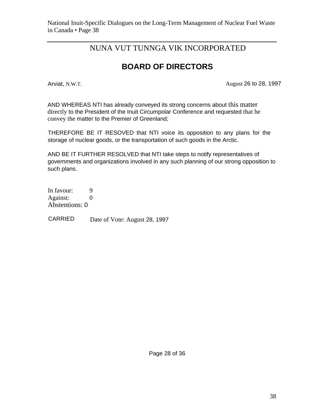### NUNA VUT TUNNGA VIK INCORPORATED

### **BOARD OF DIRECTORS**

Arviat, N.W.T. **August 26 to 28, 1997** 

AND WHEREAS NTI has already conveyed its strong concerns about this matter directly to the President of the Inuit Circumpolar Conference and requested that he convey the matter to the Premier of Greenland;

THEREFORE BE IT RESOVED that NTI voice its opposition to any plans for the storage of nuclear goods, or the transportation of such goods in the Arctic.

AND BE IT FURTHER RESOLVED that NTI take steps to notify representatives of governments and organizations involved in any such planning of our strong opposition to such plans.

In favour: 9 Against: 0 Abstentions: 0

CARRIED Date of Vote: August 28, 1997

Page 28 of 36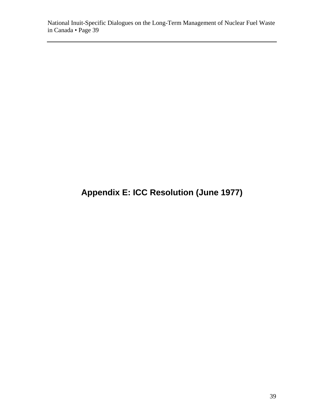### **Appendix E: ICC Resolution (June 1977)**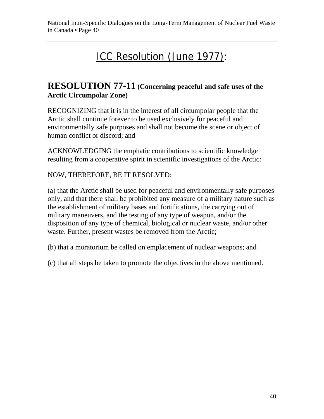## ICC Resolution (June 1977):

### **RESOLUTION 77-11 (Concerning peaceful and safe uses of the Arctic Circumpolar Zone)**

RECOGNIZING that it is in the interest of all circumpolar people that the Arctic shall continue forever to be used exclusively for peaceful and environmentally safe purposes and shall not become the scene or object of human conflict or discord; and

ACKNOWLEDGING the emphatic contributions to scientific knowledge resulting from a cooperative spirit in scientific investigations of the Arctic:

NOW, THEREFORE, BE IT RESOLVED:

(a) that the Arctic shall be used for peaceful and environmentally safe purposes only, and that there shall be prohibited any measure of a military nature such as the establishment of military bases and fortifications, the carrying out of military maneuvers, and the testing of any type of weapon, and/or the disposition of any type of chemical, biological or nuclear waste, and/or other waste. Further, present wastes be removed from the Arctic;

(b) that a moratorium be called on emplacement of nuclear weapons; and

(c) that all steps be taken to promote the objectives in the above mentioned.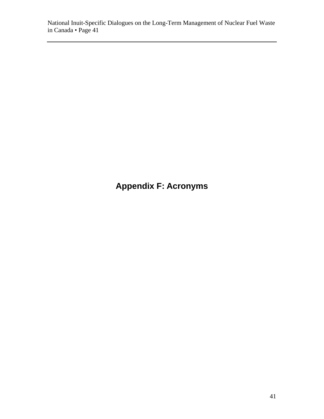### **Appendix F: Acronyms**